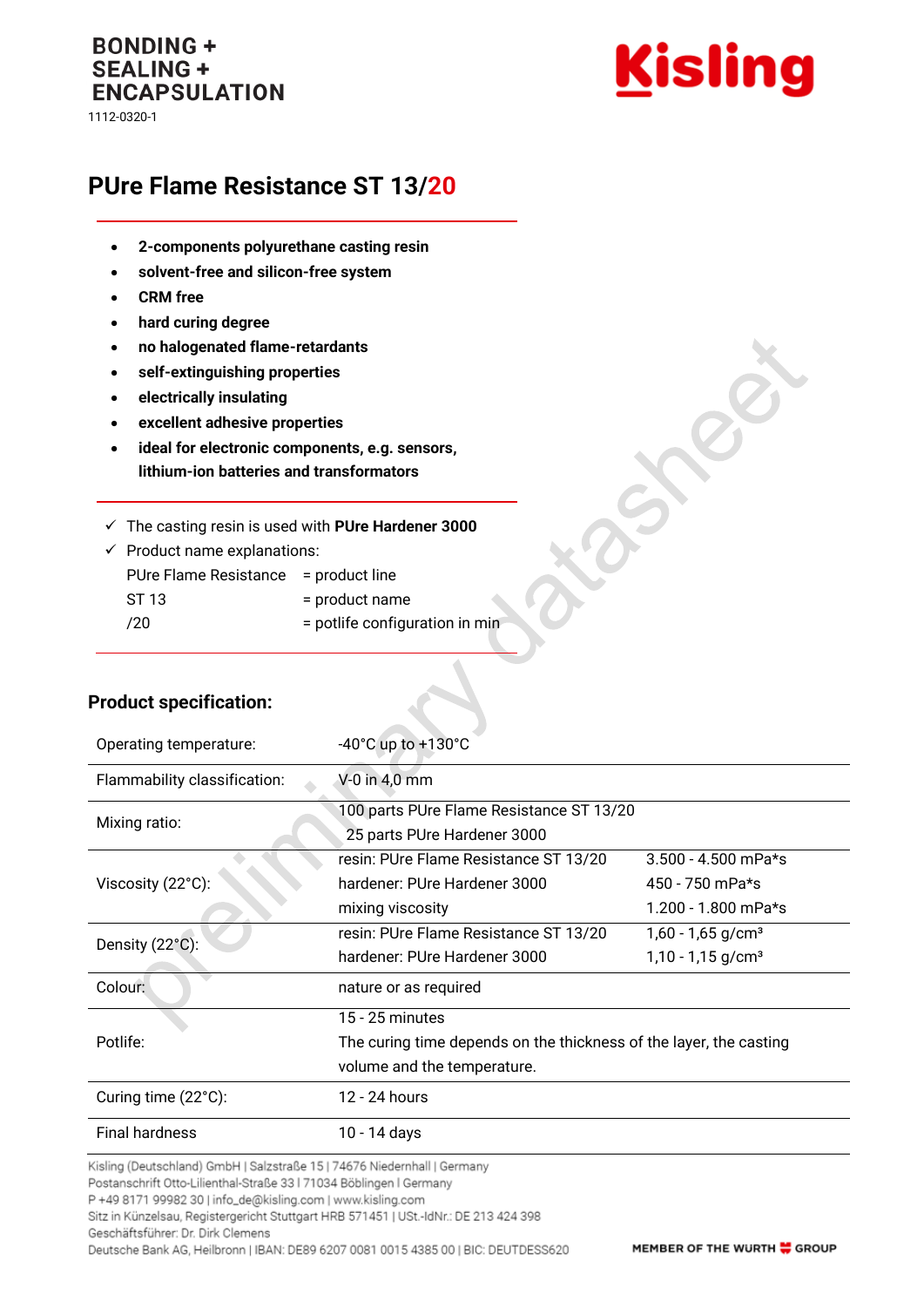## **BONDING + SEALING + ENCAPSULATION** 1112-0320-1



## **PUre Flame Resistance ST 13/20**

- **2-components polyurethane casting resin**
- **solvent-free and silicon-free system**
- **CRM free**
- **hard curing degree**
- **no halogenated flame-retardants**
- **self-extinguishing properties**
- **electrically insulating**

**Product specification:**

- **excellent adhesive properties**
- **ideal for electronic components, e.g. sensors, lithium-ion batteries and transformators**
- ✓ The casting resin is used with **PUre Hardener 3000**

| $\checkmark$ Product name explanations: |                                |  |
|-----------------------------------------|--------------------------------|--|
| PUre Flame Resistance = product line    |                                |  |
| ST 13                                   | = product name                 |  |
| /20                                     | = potlife configuration in min |  |

| Operating temperature:                                                   | -40 $^{\circ}$ C up to +130 $^{\circ}$ C                           |                                 |  |
|--------------------------------------------------------------------------|--------------------------------------------------------------------|---------------------------------|--|
| Flammability classification:                                             | V-0 in 4,0 mm                                                      |                                 |  |
| Mixing ratio:                                                            | 100 parts PUre Flame Resistance ST 13/20                           |                                 |  |
|                                                                          | 25 parts PUre Hardener 3000                                        |                                 |  |
|                                                                          | resin: PUre Flame Resistance ST 13/20                              | $3.500 - 4.500$ mPa*s           |  |
| Viscosity (22°C):                                                        | hardener: PUre Hardener 3000                                       | 450 - 750 mPa*s                 |  |
|                                                                          | mixing viscosity                                                   | 1.200 - 1.800 mPa*s             |  |
| Density (22°C):                                                          | resin: PUre Flame Resistance ST 13/20                              | $1,60 - 1,65$ g/cm <sup>3</sup> |  |
|                                                                          | hardener: PUre Hardener 3000                                       | $1,10 - 1,15$ g/cm <sup>3</sup> |  |
| Colour:                                                                  | nature or as required                                              |                                 |  |
|                                                                          | $15 - 25$ minutes                                                  |                                 |  |
| Potlife:                                                                 | The curing time depends on the thickness of the layer, the casting |                                 |  |
|                                                                          | volume and the temperature.                                        |                                 |  |
| Curing time (22°C):                                                      | 12 - 24 hours                                                      |                                 |  |
| <b>Final hardness</b>                                                    | 10 - 14 days                                                       |                                 |  |
| Kisling (Deutschland) GmbH   Salzstraße 15   74676 Niedernhall   Germany |                                                                    |                                 |  |

Postanschrift Otto-Lilienthal-Straße 33 | 71034 Böblingen | Germany

P +49 8171 99982 30 | info\_de@kisling.com | www.kisling.com

Sitz in Künzelsau, Registergericht Stuttgart HRB 571451 | USt.-IdNr.: DE 213 424 398

Geschäftsführer: Dr. Dirk Clemens

Deutsche Bank AG, Heilbronn | IBAN: DE89 6207 0081 0015 4385 00 | BIC: DEUTDESS620